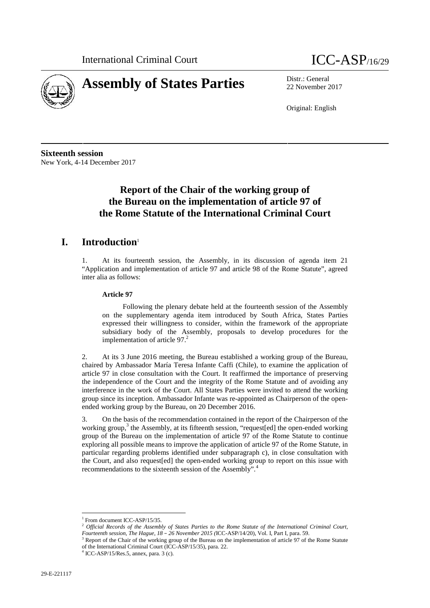



22 November 2017

Original: English

**Sixteenth session** New York, 4-14 December 2017

# **Report of the Chair of the working group of the Bureau on the implementation of article 97 of the Rome Statute of the International Criminal Court**

### **I. Introduction**<sup>1</sup>

1. At its fourteenth session, the Assembly, in its discussion of agenda item 21 "Application and implementation of article 97 and article 98 of the Rome Statute", agreed inter alia as follows:

#### **Article 97**

Following the plenary debate held at the fourteenth session of the Assembly on the supplementary agenda item introduced by South Africa, States Parties expressed their willingness to consider, within the framework of the appropriate subsidiary body of the Assembly, proposals to develop procedures for the implementation of article  $97<sup>2</sup>$ 

2. At its 3 June 2016 meeting, the Bureau established a working group of the Bureau, chaired by Ambassador María Teresa Infante Caffi (Chile), to examine the application of article 97 in close consultation with the Court. It reaffirmed the importance of preserving the independence of the Court and the integrity of the Rome Statute and of avoiding any interference in the work of the Court. All States Parties were invited to attend the working group since its inception. Ambassador Infante was re-appointed as Chairperson of the open ended working group by the Bureau, on 20 December 2016.

3. On the basis of the recommendation contained in the report of the Chairperson of the working group,<sup>3</sup> the Assembly, at its fifteenth session, "request[ed] the open-ended working group of the Bureau on the implementation of article 97 of the Rome Statute to continue exploring all possible means to improve the application of article 97 of the Rome Statute, in particular regarding problems identified under subparagraph c), in close consultation with the Court, and also request[ed] the open-ended working group to report on this issue with recommendations to the sixteenth session of the Assembly".<sup>4</sup>

<sup>&</sup>lt;sup>1</sup> From document ICC-ASP/15/35.

<sup>&</sup>lt;sup>2</sup> Official Records of the Assembly of States Parties to the Rome Statute of the International Criminal Court,<br>Fourteenth session, The Hague, 18 – 26 November 2015 (ICC-ASP/14/20), Vol. I, Part I, para. 59.

<sup>&</sup>lt;sup>3</sup> Report of the Chair of the working group of the Bureau on the implementation of article 97 of the Rome Statute of the International Criminal Court (ICC-ASP/15/35), para. 22. <sup>4</sup> ICC-ASP/15/Res.5, annex, para. 3 (c).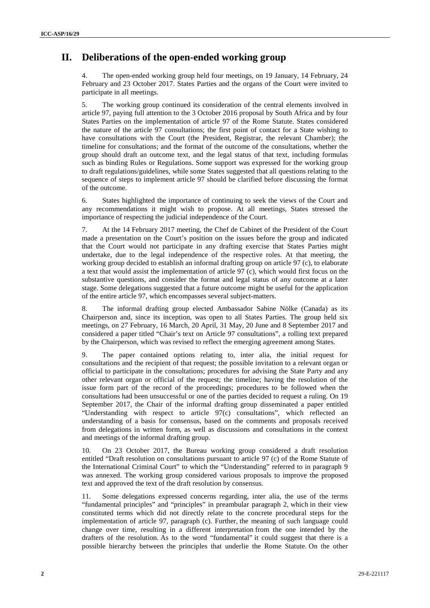## **II. Deliberations of the open-ended working group**

The open-ended working group held four meetings, on 19 January, 14 February, 24 February and 23 October 2017. States Parties and the organs of the Court were invited to participate in all meetings.

5. The working group continued its consideration of the central elements involved in article 97, paying full attention to the 3 October 2016 proposal by South Africa and by four States Parties on the implementation of article 97 of the Rome Statute. States considered the nature of the article 97 consultations; the first point of contact for a State wishing to have consultations with the Court (the President, Registrar, the relevant Chamber); the timeline for consultations; and the format of the outcome of the consultations, whether the group should draft an outcome text, and the legal status of that text, including formulas such as binding Rules or Regulations. Some support was expressed for the working group to draft regulations/guidelines, while some States suggested that all questions relating to the sequence of steps to implement article 97 should be clarified before discussing the format of the outcome.

6. States highlighted the importance of continuing to seek the views of the Court and any recommendations it might wish to propose. At all meetings, States stressed the importance of respecting the judicial independence of the Court.

7. At the 14 February 2017 meeting, the Chef de Cabinet of the President of the Court made a presentation on the Court's position on the issues before the group and indicated that the Court would not participate in any drafting exercise that States Parties might undertake, due to the legal independence of the respective roles. At that meeting, the working group decided to establish an informal drafting group on article 97 (c), to elaborate a text that would assist the implementation of article 97 (c), which would first focus on the substantive questions, and consider the format and legal status of any outcome at a later stage. Some delegations suggested that a future outcome might be useful for the application of the entire article 97, which encompasses several subject-matters.

8. The informal drafting group elected Ambassador Sabine Nölke (Canada) as its Chairperson and, since its inception, was open to all States Parties. The group held six meetings, on 27 February, 16 March, 20 April, 31 May, 20 June and 8 September 2017 and considered a paper titled "Chair's text on Article 97 consultations", a rolling text prepared by the Chairperson, which was revised to reflect the emerging agreement among States.

9. The paper contained options relating to, inter alia, the initial request for consultations and the recipient of that request; the possible invitation to a relevant organ or official to participate in the consultations; procedures for advising the State Party and any other relevant organ or official of the request; the timeline; having the resolution of the issue form part of the record of the proceedings; procedures to be followed when the consultations had been unsuccessful or one of the parties decided to request a ruling. On 19 September 2017, the Chair of the informal drafting group disseminated a paper entitled "Understanding with respect to article 97(c) consultations", which reflected an understanding of a basis for consensus, based on the comments and proposals received from delegations in written form, as well as discussions and consultations in the context and meetings of the informal drafting group.

10. On 23 October 2017, the Bureau working group considered a draft resolution entitled "Draft resolution on consultations pursuant to article 97 (c) of the Rome Statute of the International Criminal Court" to which the "Understanding" referred to in paragraph 9 was annexed. The working group considered various proposals to improve the proposed text and approved the text of the draft resolution by consensus.

Some delegations expressed concerns regarding, inter alia, the use of the terms "fundamental principles" and "principles" in preambular paragraph 2, which in their view constituted terms which did not directly relate to the concrete procedural steps for the implementation of article 97, paragraph (c). Further, the meaning of such language could change over time, resulting in a different interpretation from the one intended by the drafters of the resolution. As to the word "fundamental" it could suggest that there is a possible hierarchy between the principles that underlie the Rome Statute. On the other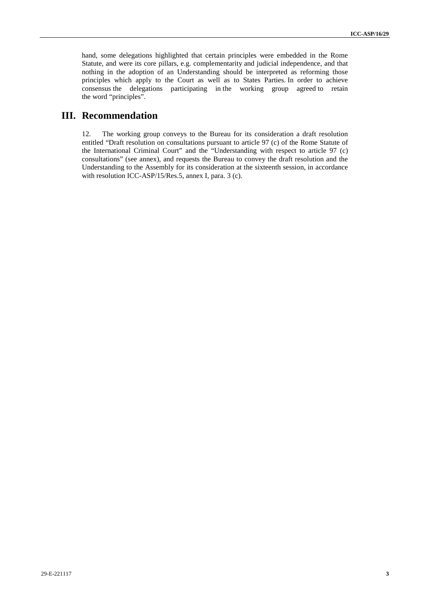hand, some delegations highlighted that certain principles were embedded in the Rome Statute, and were its core pillars, e.g. complementarity and judicial independence, and that nothing in the adoption of an Understanding should be interpreted as reforming those principles which apply to the Court as well as to States Parties. In order to achieve consensus the delegations participating in the working group agreed to retain the word "principles".

### **III. Recommendation**

12. The working group conveys to the Bureau for its consideration a draft resolution entitled "Draft resolution on consultations pursuant to article 97 (c) of the Rome Statute of the International Criminal Court" and the "Understanding with respect to article 97 (c) consultations" (see annex), and requests the Bureau to convey the draft resolution and the Understanding to the Assembly for its consideration at the sixteenth session, in accordance with resolution ICC-ASP/15/Res.5, annex I, para. 3 (c).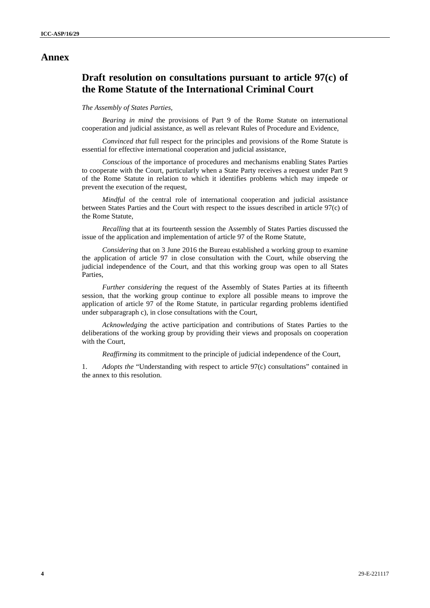#### **Annex**

## **Draft resolution on consultations pursuant to article 97(c) of the Rome Statute of the International Criminal Court**

#### *The Assembly of States Parties,*

*Bearing in mind* the provisions of Part 9 of the Rome Statute on international cooperation and judicial assistance, as well as relevant Rules of Procedure and Evidence,

*Convinced that* full respect for the principles and provisions of the Rome Statute is essential for effective international cooperation and judicial assistance,

*Conscious* of the importance of procedures and mechanisms enabling States Parties to cooperate with the Court, particularly when a State Party receives a request under Part 9 of the Rome Statute in relation to which it identifies problems which may impede or prevent the execution of the request,

*Mindful* of the central role of international cooperation and judicial assistance between States Parties and the Court with respect to the issues described in article 97(c) of the Rome Statute,

*Recalling* that at its fourteenth session the Assembly of States Parties discussed the issue of the application and implementation of article 97 of the Rome Statute,

*Considering* that on 3 June 2016 the Bureau established a working group to examine the application of article 97 in close consultation with the Court, while observing the judicial independence of the Court, and that this working group was open to all States Parties,

*Further considering* the request of the Assembly of States Parties at its fifteenth session, that the working group continue to explore all possible means to improve the application of article 97 of the Rome Statute, in particular regarding problems identified under subparagraph c), in close consultations with the Court,

*Acknowledging* the active participation and contributions of States Parties to the deliberations of the working group by providing their views and proposals on cooperation with the Court,

*Reaffirming* its commitment to the principle of judicial independence of the Court,

1. *Adopts the* "Understanding with respect to article 97(c) consultations" contained in the annex to this resolution.